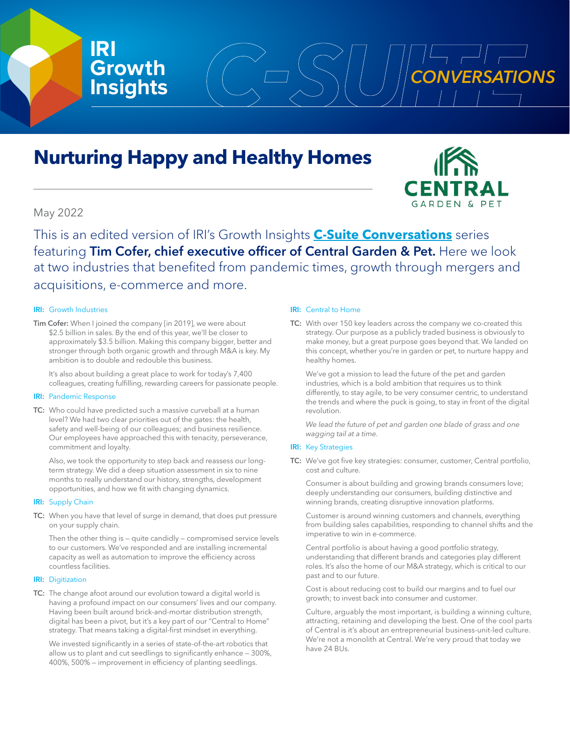



# May 2022

**IRI**

**Growth**

This is an edited version of IRI's Growth Insights **[C-Suite Conversations](https://www.iriworldwide.com/en-us/insights/publications/csuite)** series featuring Tim Cofer, chief executive officer of Central Garden & Pet. Here we look at two industries that benefited from pandemic times, growth through mergers and acquisitions, e-commerce and more.

## IRI: Growth Industries

Tim Cofer: When I joined the company [in 2019], we were about \$2.5 billion in sales. By the end of this year, we'll be closer to approximately \$3.5 billion. Making this company bigger, better and stronger through both organic growth and through M&A is key. My ambition is to double and redouble this business.

It's also about building a great place to work for today's 7,400 colleagues, creating fulfilling, rewarding careers for passionate people.

#### IRI: Pandemic Response

TC: Who could have predicted such a massive curveball at a human level? We had two clear priorities out of the gates: the health, safety and well-being of our colleagues; and business resilience. Our employees have approached this with tenacity, perseverance, commitment and loyalty.

Also, we took the opportunity to step back and reassess our longterm strategy. We did a deep situation assessment in six to nine months to really understand our history, strengths, development opportunities, and how we fit with changing dynamics.

#### **IRI:** Supply Chain

TC: When you have that level of surge in demand, that does put pressure on your supply chain.

Then the other thing is — quite candidly — compromised service levels to our customers. We've responded and are installing incremental capacity as well as automation to improve the efficiency across countless facilities.

#### **IRI:** Digitization

TC: The change afoot around our evolution toward a digital world is having a profound impact on our consumers' lives and our company. Having been built around brick-and-mortar distribution strength, digital has been a pivot, but it's a key part of our "Central to Home" strategy. That means taking a digital-first mindset in everything.

We invested significantly in a series of state-of-the-art robotics that allow us to plant and cut seedlings to significantly enhance — 300%, 400%, 500% — improvement in efficiency of planting seedlings.

#### IRI: Central to Home

**Insights**  $(\cup_{\text{max}}\sum)(\cup\sum_{i=1}^{CONVERSATIONS})$ 

TC: With over 150 key leaders across the company we co-created this strategy. Our purpose as a publicly traded business is obviously to make money, but a great purpose goes beyond that. We landed on this concept, whether you're in garden or pet, to nurture happy and healthy homes.

We've got a mission to lead the future of the pet and garden industries, which is a bold ambition that requires us to think differently, to stay agile, to be very consumer centric, to understand the trends and where the puck is going, to stay in front of the digital revolution.

*We lead the future of pet and garden one blade of grass and one wagging tail at a time.* 

# **IRI:** Key Strategies

TC: We've got five key strategies: consumer, customer, Central portfolio, cost and culture.

Consumer is about building and growing brands consumers love; deeply understanding our consumers, building distinctive and winning brands, creating disruptive innovation platforms.

Customer is around winning customers and channels, everything from building sales capabilities, responding to channel shifts and the imperative to win in e-commerce.

Central portfolio is about having a good portfolio strategy, understanding that different brands and categories play different roles. It's also the home of our M&A strategy, which is critical to our past and to our future.

Cost is about reducing cost to build our margins and to fuel our growth; to invest back into consumer and customer.

Culture, arguably the most important, is building a winning culture, attracting, retaining and developing the best. One of the cool parts of Central is it's about an entrepreneurial business-unit-led culture. We're not a monolith at Central. We're very proud that today we have 24 BUs.